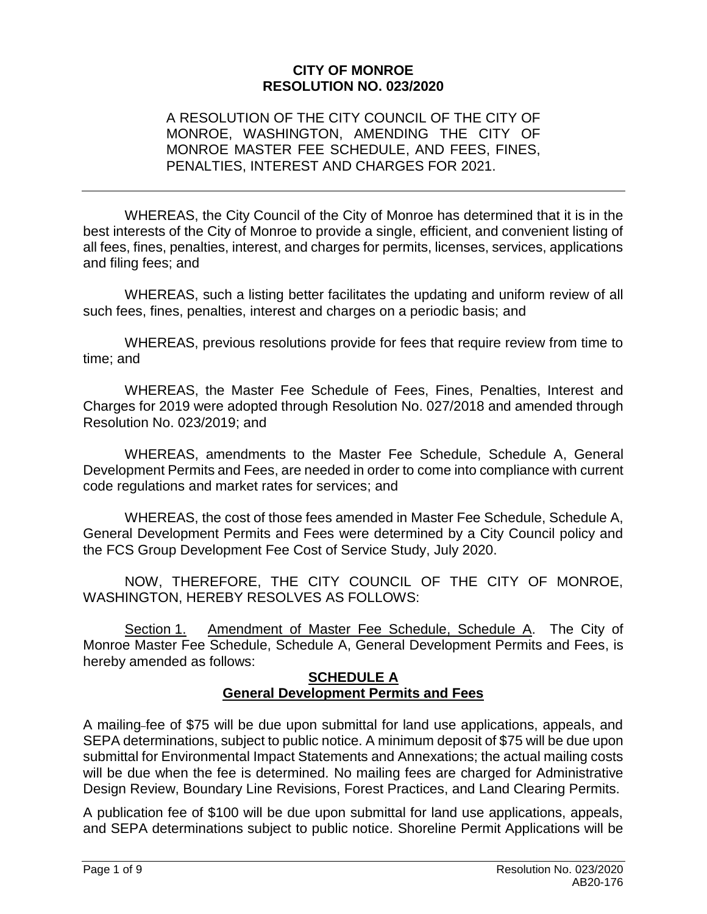#### **CITY OF MONROE RESOLUTION NO. 023/2020**

#### A RESOLUTION OF THE CITY COUNCIL OF THE CITY OF MONROE, WASHINGTON, AMENDING THE CITY OF MONROE MASTER FEE SCHEDULE, AND FEES, FINES, PENALTIES, INTEREST AND CHARGES FOR 2021.

WHEREAS, the City Council of the City of Monroe has determined that it is in the best interests of the City of Monroe to provide a single, efficient, and convenient listing of all fees, fines, penalties, interest, and charges for permits, licenses, services, applications and filing fees; and

WHEREAS, such a listing better facilitates the updating and uniform review of all such fees, fines, penalties, interest and charges on a periodic basis; and

WHEREAS, previous resolutions provide for fees that require review from time to time; and

WHEREAS, the Master Fee Schedule of Fees, Fines, Penalties, Interest and Charges for 2019 were adopted through Resolution No. 027/2018 and amended through Resolution No. 023/2019; and

WHEREAS, amendments to the Master Fee Schedule, Schedule A, General Development Permits and Fees, are needed in order to come into compliance with current code regulations and market rates for services; and

WHEREAS, the cost of those fees amended in Master Fee Schedule, Schedule A, General Development Permits and Fees were determined by a City Council policy and the FCS Group Development Fee Cost of Service Study, July 2020.

NOW, THEREFORE, THE CITY COUNCIL OF THE CITY OF MONROE, WASHINGTON, HEREBY RESOLVES AS FOLLOWS:

Section 1. Amendment of Master Fee Schedule, Schedule A. The City of Monroe Master Fee Schedule, Schedule A, General Development Permits and Fees, is hereby amended as follows:

#### **SCHEDULE A General Development Permits and Fees**

A mailing fee of \$75 will be due upon submittal for land use applications, appeals, and SEPA determinations, subject to public notice. A minimum deposit of \$75 will be due upon submittal for Environmental Impact Statements and Annexations; the actual mailing costs will be due when the fee is determined. No mailing fees are charged for Administrative Design Review, Boundary Line Revisions, Forest Practices, and Land Clearing Permits.

A publication fee of \$100 will be due upon submittal for land use applications, appeals, and SEPA determinations subject to public notice. Shoreline Permit Applications will be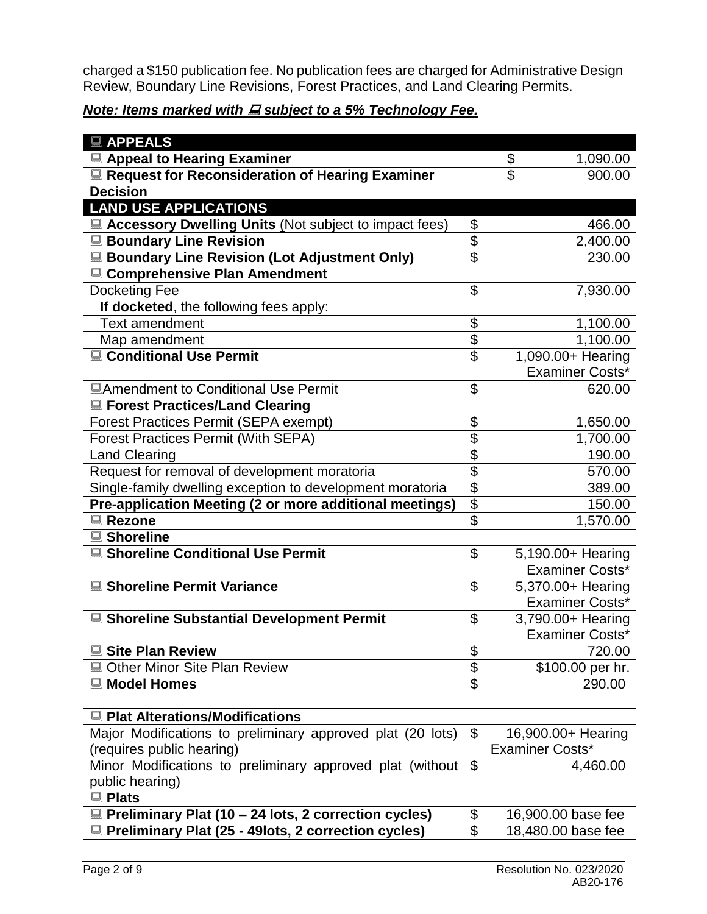charged a \$150 publication fee. No publication fees are charged for Administrative Design Review, Boundary Line Revisions, Forest Practices, and Land Clearing Permits.

# *Note: Items marked with E subject to a 5% Technology Fee.*

| <b>■ APPEALS</b>                                            |                           |                                    |
|-------------------------------------------------------------|---------------------------|------------------------------------|
| ■ Appeal to Hearing Examiner                                |                           | \$<br>1,090.00                     |
| Request for Reconsideration of Hearing Examiner             |                           | $\overline{\mathcal{S}}$<br>900.00 |
| <b>Decision</b>                                             |                           |                                    |
| <b>LAND USE APPLICATIONS</b>                                |                           |                                    |
| ■ Accessory Dwelling Units (Not subject to impact fees)     | $\boldsymbol{\mathsf{S}}$ | 466.00                             |
| <b>■ Boundary Line Revision</b>                             | \$                        | 2,400.00                           |
| <b>■ Boundary Line Revision (Lot Adjustment Only)</b>       | $\mathfrak{S}$            | 230.00                             |
| ■ Comprehensive Plan Amendment                              |                           |                                    |
| <b>Docketing Fee</b>                                        | \$                        | 7,930.00                           |
| If docketed, the following fees apply:                      |                           |                                    |
| <b>Text amendment</b>                                       | $\boldsymbol{\theta}$     | 1,100.00                           |
| Map amendment                                               | \$                        | 1,100.00                           |
| ■ Conditional Use Permit                                    | $\mathfrak{L}$            | 1,090.00+ Hearing                  |
|                                                             |                           | <b>Examiner Costs*</b>             |
| <b>■Amendment to Conditional Use Permit</b>                 | $\mathfrak{S}$            | 620.00                             |
| ■ Forest Practices/Land Clearing                            |                           |                                    |
| <b>Forest Practices Permit (SEPA exempt)</b>                | \$                        | 1,650.00                           |
| <b>Forest Practices Permit (With SEPA)</b>                  | \$                        | 1,700.00                           |
| <b>Land Clearing</b>                                        | \$                        | 190.00                             |
| Request for removal of development moratoria                | $\overline{\mathcal{G}}$  | 570.00                             |
| Single-family dwelling exception to development moratoria   | \$                        | 389.00                             |
| Pre-application Meeting (2 or more additional meetings)     | $\overline{\mathbf{e}}$   | 150.00                             |
| <b>■ Rezone</b>                                             | $\boldsymbol{\mathsf{S}}$ | 1,570.00                           |
| <b>■ Shoreline</b>                                          |                           |                                    |
| ■ Shoreline Conditional Use Permit                          | $\boldsymbol{\mathsf{S}}$ | 5,190.00+ Hearing                  |
|                                                             |                           | <b>Examiner Costs*</b>             |
| ■ Shoreline Permit Variance                                 | $\boldsymbol{\mathsf{S}}$ | 5,370.00+ Hearing                  |
|                                                             |                           | <b>Examiner Costs*</b>             |
| <b>■ Shoreline Substantial Development Permit</b>           | $\boldsymbol{\mathsf{S}}$ | 3,790.00+ Hearing                  |
|                                                             |                           | <b>Examiner Costs*</b>             |
| <b>■ Site Plan Review</b>                                   | \$                        | 720.00                             |
| ■ Other Minor Site Plan Review                              | \$                        | \$100.00 per hr.                   |
| ■ Model Homes                                               | $\overline{\mathcal{S}}$  | 290.00                             |
|                                                             |                           |                                    |
| <b>■ Plat Alterations/Modifications</b>                     |                           |                                    |
| Major Modifications to preliminary approved plat (20 lots)  | \$                        | 16,900.00+ Hearing                 |
| (requires public hearing)                                   |                           | <b>Examiner Costs*</b>             |
| Minor Modifications to preliminary approved plat (without   | \$                        | 4,460.00                           |
| public hearing)                                             |                           |                                    |
| <b>■ Plats</b>                                              |                           |                                    |
| $\Box$ Preliminary Plat (10 – 24 lots, 2 correction cycles) | \$                        | 16,900.00 base fee                 |
| Preliminary Plat (25 - 49lots, 2 correction cycles)         | \$                        | 18,480.00 base fee                 |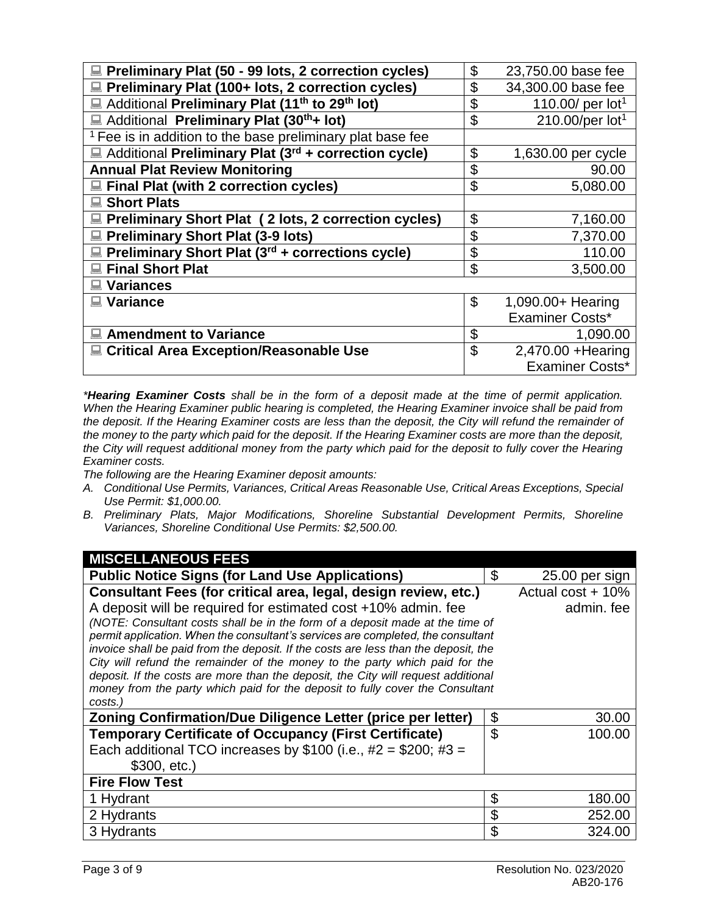| Preliminary Plat (50 - 99 lots, 2 correction cycles)                    | \$             | 23,750.00 base fee          |
|-------------------------------------------------------------------------|----------------|-----------------------------|
| Preliminary Plat (100+ lots, 2 correction cycles)                       | \$             | 34,300.00 base fee          |
| Additional Preliminary Plat (11 <sup>th</sup> to 29 <sup>th</sup> lot)  | \$             | 110.00/ per $lot1$          |
| Additional Preliminary Plat (30 <sup>th</sup> + lot)                    | \$             | 210.00/per lot <sup>1</sup> |
| <sup>1</sup> Fee is in addition to the base preliminary plat base fee   |                |                             |
| $\Box$ Additional Preliminary Plat (3 <sup>rd</sup> + correction cycle) | \$             | 1,630.00 per cycle          |
| <b>Annual Plat Review Monitoring</b>                                    | \$             | 90.00                       |
| Final Plat (with 2 correction cycles)                                   | \$             | 5,080.00                    |
| ■ Short Plats                                                           |                |                             |
| ■ Preliminary Short Plat (2 lots, 2 correction cycles)                  | \$             | 7,160.00                    |
| Preliminary Short Plat (3-9 lots)                                       | \$             | 7,370.00                    |
| $\Box$ Preliminary Short Plat (3 <sup>rd</sup> + corrections cycle)     | \$             | 110.00                      |
| <b>Final Short Plat</b>                                                 | \$             | 3,500.00                    |
| <b>Variances</b>                                                        |                |                             |
| <b>Variance</b>                                                         | \$             | 1,090.00+ Hearing           |
|                                                                         |                | Examiner Costs*             |
| <b>Amendment to Variance</b>                                            | \$             | 1,090.00                    |
| ■ Critical Area Exception/Reasonable Use                                | $\mathfrak{L}$ | 2,470.00 + Hearing          |
|                                                                         |                | Examiner Costs*             |

*\*Hearing Examiner Costs shall be in the form of a deposit made at the time of permit application. When the Hearing Examiner public hearing is completed, the Hearing Examiner invoice shall be paid from the deposit. If the Hearing Examiner costs are less than the deposit, the City will refund the remainder of the money to the party which paid for the deposit. If the Hearing Examiner costs are more than the deposit, the City will request additional money from the party which paid for the deposit to fully cover the Hearing Examiner costs.* 

*The following are the Hearing Examiner deposit amounts:* 

- *A. Conditional Use Permits, Variances, Critical Areas Reasonable Use, Critical Areas Exceptions, Special Use Permit: \$1,000.00.*
- *B. Preliminary Plats, Major Modifications, Shoreline Substantial Development Permits, Shoreline Variances, Shoreline Conditional Use Permits: \$2,500.00.*

| \$             | 25.00 per sign                                                                                                                                                                                                                                                                                                                                                                                                                                                                                                            |
|----------------|---------------------------------------------------------------------------------------------------------------------------------------------------------------------------------------------------------------------------------------------------------------------------------------------------------------------------------------------------------------------------------------------------------------------------------------------------------------------------------------------------------------------------|
|                | Actual cost + 10%                                                                                                                                                                                                                                                                                                                                                                                                                                                                                                         |
|                | admin. fee                                                                                                                                                                                                                                                                                                                                                                                                                                                                                                                |
|                |                                                                                                                                                                                                                                                                                                                                                                                                                                                                                                                           |
|                |                                                                                                                                                                                                                                                                                                                                                                                                                                                                                                                           |
|                |                                                                                                                                                                                                                                                                                                                                                                                                                                                                                                                           |
|                |                                                                                                                                                                                                                                                                                                                                                                                                                                                                                                                           |
|                |                                                                                                                                                                                                                                                                                                                                                                                                                                                                                                                           |
|                |                                                                                                                                                                                                                                                                                                                                                                                                                                                                                                                           |
|                |                                                                                                                                                                                                                                                                                                                                                                                                                                                                                                                           |
|                | 30.00                                                                                                                                                                                                                                                                                                                                                                                                                                                                                                                     |
|                | 100.00                                                                                                                                                                                                                                                                                                                                                                                                                                                                                                                    |
|                |                                                                                                                                                                                                                                                                                                                                                                                                                                                                                                                           |
|                |                                                                                                                                                                                                                                                                                                                                                                                                                                                                                                                           |
|                |                                                                                                                                                                                                                                                                                                                                                                                                                                                                                                                           |
| \$             | 180.00                                                                                                                                                                                                                                                                                                                                                                                                                                                                                                                    |
| \$             | 252.00                                                                                                                                                                                                                                                                                                                                                                                                                                                                                                                    |
| $\mathfrak{L}$ | 324.00                                                                                                                                                                                                                                                                                                                                                                                                                                                                                                                    |
|                | (NOTE: Consultant costs shall be in the form of a deposit made at the time of<br>permit application. When the consultant's services are completed, the consultant<br>invoice shall be paid from the deposit. If the costs are less than the deposit, the<br>City will refund the remainder of the money to the party which paid for the<br>deposit. If the costs are more than the deposit, the City will request additional<br>money from the party which paid for the deposit to fully cover the Consultant<br>\$<br>\$ |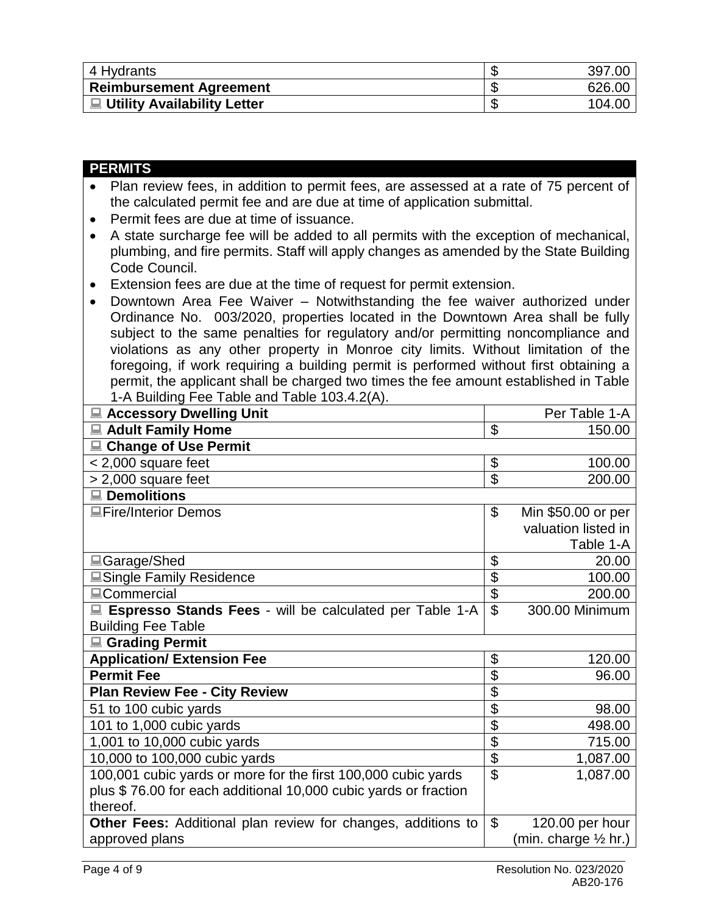| 4 Hydrants                     | 397.00 |
|--------------------------------|--------|
| <b>Reimbursement Agreement</b> | 626.00 |
| ■ Utility Availability Letter  | 104.00 |

| <b>PERMITS</b>                                                                                    |                           |                                 |  |
|---------------------------------------------------------------------------------------------------|---------------------------|---------------------------------|--|
| Plan review fees, in addition to permit fees, are assessed at a rate of 75 percent of             |                           |                                 |  |
| the calculated permit fee and are due at time of application submittal.                           |                           |                                 |  |
| Permit fees are due at time of issuance.<br>$\bullet$                                             |                           |                                 |  |
| A state surcharge fee will be added to all permits with the exception of mechanical,<br>$\bullet$ |                           |                                 |  |
| plumbing, and fire permits. Staff will apply changes as amended by the State Building             |                           |                                 |  |
| Code Council.                                                                                     |                           |                                 |  |
| Extension fees are due at the time of request for permit extension.<br>$\bullet$                  |                           |                                 |  |
| Downtown Area Fee Waiver - Notwithstanding the fee waiver authorized under<br>$\bullet$           |                           |                                 |  |
| Ordinance No. 003/2020, properties located in the Downtown Area shall be fully                    |                           |                                 |  |
| subject to the same penalties for regulatory and/or permitting noncompliance and                  |                           |                                 |  |
| violations as any other property in Monroe city limits. Without limitation of the                 |                           |                                 |  |
| foregoing, if work requiring a building permit is performed without first obtaining a             |                           |                                 |  |
| permit, the applicant shall be charged two times the fee amount established in Table              |                           |                                 |  |
| 1-A Building Fee Table and Table 103.4.2(A).                                                      |                           |                                 |  |
| <b>■ Accessory Dwelling Unit</b>                                                                  |                           | Per Table 1-A                   |  |
| Adult Family Home                                                                                 | \$                        | 150.00                          |  |
| <b>■ Change of Use Permit</b>                                                                     |                           |                                 |  |
| $< 2,000$ square feet                                                                             | \$                        | 100.00                          |  |
| $> 2,000$ square feet                                                                             | $\overline{\mathcal{S}}$  | 200.00                          |  |
| <b>■ Demolitions</b>                                                                              |                           |                                 |  |
| <b>Lectifulariate in Line Semps</b>                                                               | \$                        | Min \$50.00 or per              |  |
|                                                                                                   |                           | valuation listed in             |  |
|                                                                                                   | \$                        | Table 1-A<br>20.00              |  |
| ■Garage/Shed<br><b>■Single Family Residence</b>                                                   | $\overline{\$}$           | 100.00                          |  |
| <b>ECommercial</b>                                                                                | \$                        | 200.00                          |  |
| ■ Espresso Stands Fees - will be calculated per Table 1-A                                         | $\mathfrak{L}$            | 300.00 Minimum                  |  |
| <b>Building Fee Table</b>                                                                         |                           |                                 |  |
| <b>■ Grading Permit</b>                                                                           |                           |                                 |  |
| <b>Application/ Extension Fee</b>                                                                 | \$                        | 120.00                          |  |
| <b>Permit Fee</b>                                                                                 | \$                        | 96.00                           |  |
| <b>Plan Review Fee - City Review</b>                                                              | \$                        |                                 |  |
| 51 to 100 cubic yards                                                                             | $\overline{\$}$           | 98.00                           |  |
| 101 to 1,000 cubic yards                                                                          | $\overline{\mathfrak{s}}$ | 498.00                          |  |
| 1,001 to 10,000 cubic yards                                                                       | $\overline{\mathbf{S}}$   | 715.00                          |  |
| 10,000 to 100,000 cubic yards                                                                     | $\overline{\mathfrak{s}}$ | 1,087.00                        |  |
| 100,001 cubic yards or more for the first 100,000 cubic yards                                     | \$                        | 1,087.00                        |  |
| plus \$76.00 for each additional 10,000 cubic yards or fraction                                   |                           |                                 |  |
| thereof.                                                                                          |                           |                                 |  |
| Other Fees: Additional plan review for changes, additions to                                      | $\mathfrak{S}$            | 120.00 per hour                 |  |
| approved plans                                                                                    |                           | (min. charge $\frac{1}{2}$ hr.) |  |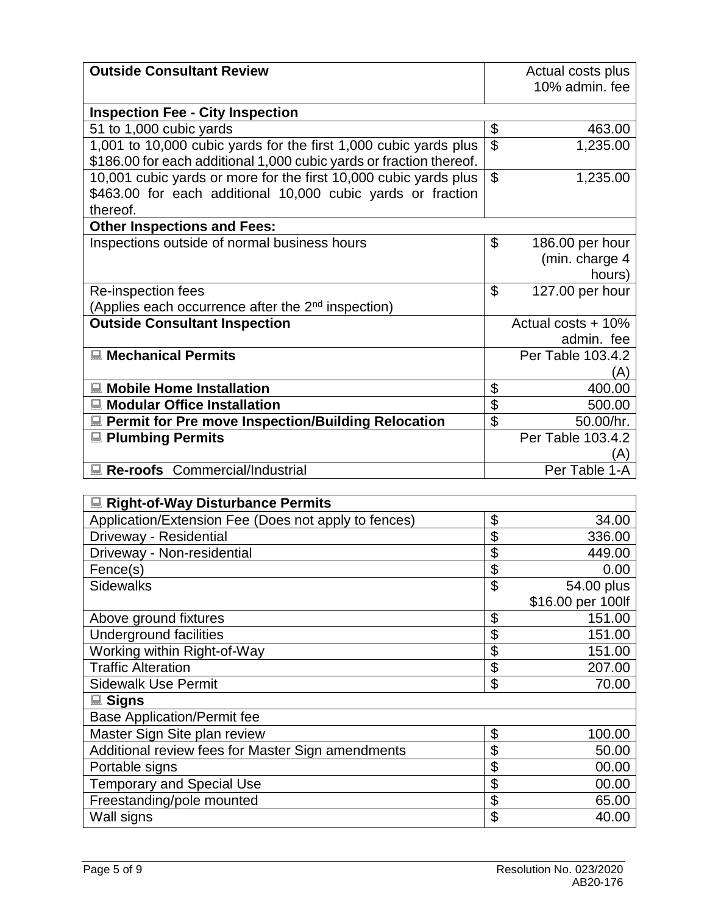| <b>Outside Consultant Review</b>                                    |                          |                      |
|---------------------------------------------------------------------|--------------------------|----------------------|
|                                                                     |                          | Actual costs plus    |
|                                                                     |                          | 10% admin, fee       |
| <b>Inspection Fee - City Inspection</b>                             |                          |                      |
| 51 to 1,000 cubic yards                                             | \$                       | 463.00               |
| 1,001 to 10,000 cubic yards for the first 1,000 cubic yards plus    | $\overline{\mathcal{S}}$ | 1,235.00             |
| \$186.00 for each additional 1,000 cubic yards or fraction thereof. |                          |                      |
| 10,001 cubic yards or more for the first 10,000 cubic yards plus    | $\mathfrak{S}$           | 1,235.00             |
| \$463.00 for each additional 10,000 cubic yards or fraction         |                          |                      |
| thereof.                                                            |                          |                      |
| <b>Other Inspections and Fees:</b>                                  |                          |                      |
| Inspections outside of normal business hours                        | \$                       | 186.00 per hour      |
|                                                                     |                          | (min. charge 4       |
|                                                                     |                          | hours)               |
| Re-inspection fees                                                  | $\mathfrak{L}$           | 127.00 per hour      |
| (Applies each occurrence after the 2 <sup>nd</sup> inspection)      |                          |                      |
| <b>Outside Consultant Inspection</b>                                |                          | Actual costs $+10\%$ |
|                                                                     |                          | admin. fee           |
| ■ Mechanical Permits                                                |                          | Per Table 103.4.2    |
|                                                                     |                          | (A)                  |
| <b>Mobile Home Installation</b>                                     | \$                       | 400.00               |
| <b>Modular Office Installation</b>                                  | \$                       | 500.00               |
| ■ Permit for Pre move Inspection/Building Relocation                | \$                       | 50.00/hr.            |
| <b>■ Plumbing Permits</b>                                           |                          | Per Table 103.4.2    |
|                                                                     |                          |                      |
| Re-roofs Commercial/Industrial                                      |                          | Per Table 1-A        |

| ■ Right-of-Way Disturbance Permits                   |                |                   |
|------------------------------------------------------|----------------|-------------------|
| Application/Extension Fee (Does not apply to fences) | \$             | 34.00             |
| Driveway - Residential                               | \$             | 336.00            |
| Driveway - Non-residential                           | \$             | 449.00            |
| Fence(s)                                             | \$             | 0.00              |
| <b>Sidewalks</b>                                     | \$             | 54.00 plus        |
|                                                      |                | \$16.00 per 100lf |
| Above ground fixtures                                | \$             | 151.00            |
| Underground facilities                               | \$             | 151.00            |
| Working within Right-of-Way                          | \$             | 151.00            |
| <b>Traffic Alteration</b>                            | \$             | 207.00            |
| <b>Sidewalk Use Permit</b>                           | \$             | 70.00             |
| <b>■ Signs</b>                                       |                |                   |
| <b>Base Application/Permit fee</b>                   |                |                   |
| Master Sign Site plan review                         | \$             | 100.00            |
| Additional review fees for Master Sign amendments    | \$             | 50.00             |
| Portable signs                                       | \$             | 00.00             |
| <b>Temporary and Special Use</b>                     | \$             | 00.00             |
| Freestanding/pole mounted                            | \$             | 65.00             |
| Wall signs                                           | $\mathfrak{S}$ | 40.00             |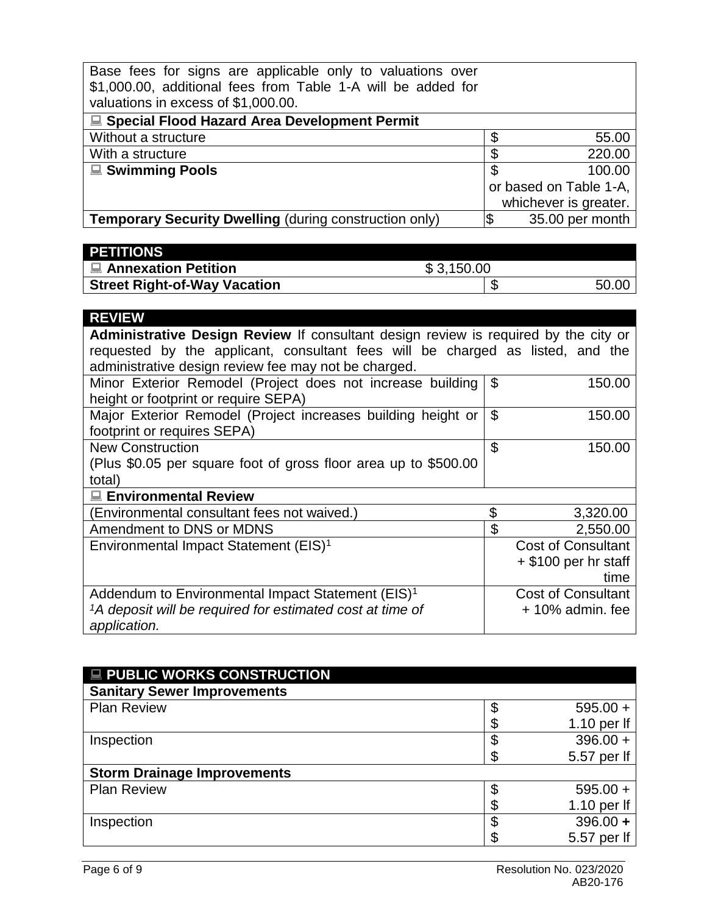| Base fees for signs are applicable only to valuations over<br>\$1,000.00, additional fees from Table 1-A will be added for<br>valuations in excess of \$1,000.00. |                        |
|-------------------------------------------------------------------------------------------------------------------------------------------------------------------|------------------------|
| ■ Special Flood Hazard Area Development Permit                                                                                                                    |                        |
| Without a structure                                                                                                                                               | \$<br>55.00            |
| With a structure                                                                                                                                                  | \$<br>220.00           |
| <b>■ Swimming Pools</b>                                                                                                                                           | \$<br>100.00           |
|                                                                                                                                                                   | or based on Table 1-A, |
|                                                                                                                                                                   | whichever is greater.  |
| <b>Temporary Security Dwelling (during construction only)</b>                                                                                                     | 35.00 per month        |

| <b>PETITIONS</b>                    |            |       |
|-------------------------------------|------------|-------|
| <b>I ■ Annexation Petition</b>      | \$3,150.00 |       |
| <b>Street Right-of-Way Vacation</b> |            | 50.00 |

| <b>REVIEW</b>                                                                       |                |                           |  |
|-------------------------------------------------------------------------------------|----------------|---------------------------|--|
| Administrative Design Review If consultant design review is required by the city or |                |                           |  |
| requested by the applicant, consultant fees will be charged as listed, and the      |                |                           |  |
| administrative design review fee may not be charged.                                |                |                           |  |
| Minor Exterior Remodel (Project does not increase building                          | \$             | 150.00                    |  |
| height or footprint or require SEPA)                                                |                |                           |  |
| Major Exterior Remodel (Project increases building height or                        | $\mathfrak{L}$ | 150.00                    |  |
| footprint or requires SEPA)                                                         |                |                           |  |
| <b>New Construction</b>                                                             | \$             | 150.00                    |  |
| (Plus \$0.05 per square foot of gross floor area up to \$500.00                     |                |                           |  |
| total)                                                                              |                |                           |  |
| ■ Environmental Review                                                              |                |                           |  |
| Environmental consultant fees not waived.)                                          | \$             | 3,320.00                  |  |
| Amendment to DNS or MDNS                                                            | \$             | 2,550.00                  |  |
| Environmental Impact Statement (EIS) <sup>1</sup>                                   |                | <b>Cost of Consultant</b> |  |
|                                                                                     |                | $+$ \$100 per hr staff    |  |
|                                                                                     |                | time                      |  |
| Addendum to Environmental Impact Statement (EIS) <sup>1</sup>                       |                | <b>Cost of Consultant</b> |  |
| <sup>1</sup> A deposit will be required for estimated cost at time of               |                | $+10\%$ admin. fee        |  |
| application.                                                                        |                |                           |  |

| <b>E PUBLIC WORKS CONSTRUCTION</b> |   |               |
|------------------------------------|---|---------------|
| <b>Sanitary Sewer Improvements</b> |   |               |
| <b>Plan Review</b>                 |   | $595.00 +$    |
|                                    | œ | 1.10 per $If$ |
| Inspection                         |   | $396.00 +$    |
|                                    |   | 5.57 per lf   |
| <b>Storm Drainage Improvements</b> |   |               |
| <b>Plan Review</b>                 |   | $595.00 +$    |
|                                    |   | 1.10 per $If$ |
| Inspection                         |   | $396.00 +$    |
|                                    |   | 5.57 per lf   |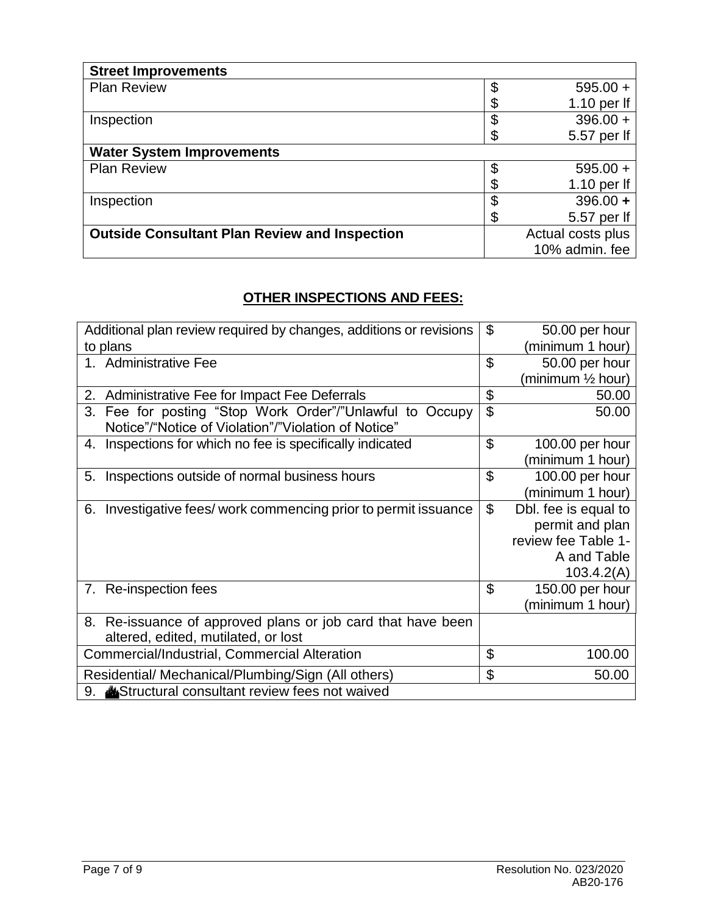| <b>Street Improvements</b>                           |                   |
|------------------------------------------------------|-------------------|
| <b>Plan Review</b>                                   | $595.00 +$        |
|                                                      | 1.10 per $If$     |
| Inspection                                           | $396.00 +$        |
|                                                      | 5.57 per lf       |
| <b>Water System Improvements</b>                     |                   |
| <b>Plan Review</b>                                   | \$<br>$595.00 +$  |
|                                                      | 1.10 per $If$     |
| Inspection                                           | $396.00 +$        |
|                                                      | 5.57 per lf       |
| <b>Outside Consultant Plan Review and Inspection</b> | Actual costs plus |
|                                                      | 10% admin. fee    |

### **OTHER INSPECTIONS AND FEES:**

| Additional plan review required by changes, additions or revisions | \$             | 50.00 per hour       |
|--------------------------------------------------------------------|----------------|----------------------|
| to plans                                                           |                | (minimum 1 hour)     |
| 1. Administrative Fee                                              | \$             | 50.00 per hour       |
|                                                                    |                | (minimum 1/2 hour)   |
| 2.<br>Administrative Fee for Impact Fee Deferrals                  | \$             | 50.00                |
| 3. Fee for posting "Stop Work Order"/"Unlawful to Occupy           | $\mathfrak{P}$ | 50.00                |
| Notice"/"Notice of Violation"/"Violation of Notice"                |                |                      |
| Inspections for which no fee is specifically indicated<br>4.       | \$             | 100.00 per hour      |
|                                                                    |                | (minimum 1 hour)     |
| Inspections outside of normal business hours<br>5.                 | \$             | 100.00 per hour      |
|                                                                    |                | (minimum 1 hour)     |
| Investigative fees/ work commencing prior to permit issuance<br>6. | \$             | Dbl. fee is equal to |
|                                                                    |                | permit and plan      |
|                                                                    |                | review fee Table 1-  |
|                                                                    |                | A and Table          |
|                                                                    |                | 103.4.2(A)           |
| 7. Re-inspection fees                                              | \$             | 150.00 per hour      |
|                                                                    |                | (minimum 1 hour)     |
| 8. Re-issuance of approved plans or job card that have been        |                |                      |
| altered, edited, mutilated, or lost                                |                |                      |
| Commercial/Industrial, Commercial Alteration                       | \$             | 100.00               |
| Residential/ Mechanical/Plumbing/Sign (All others)                 | \$             | 50.00                |
| 9. <b>A</b> Structural consultant review fees not waived           |                |                      |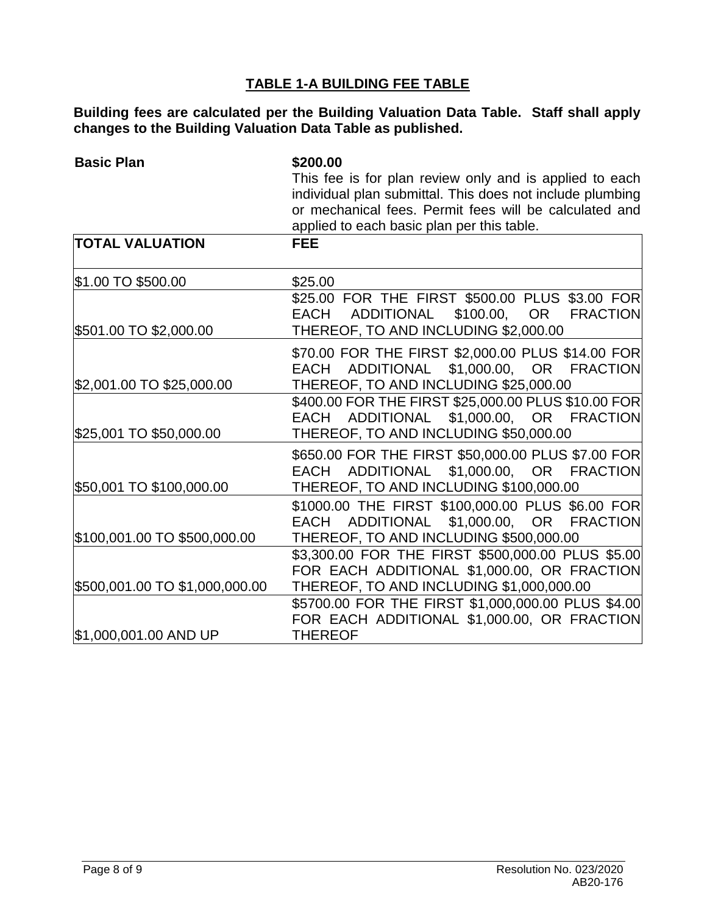## **TABLE 1-A BUILDING FEE TABLE**

**Building fees are calculated per the Building Valuation Data Table. Staff shall apply changes to the Building Valuation Data Table as published.**

| <b>Basic Plan</b>              | \$200.00                                                                                                            |  |  |  |
|--------------------------------|---------------------------------------------------------------------------------------------------------------------|--|--|--|
|                                | This fee is for plan review only and is applied to each                                                             |  |  |  |
|                                | individual plan submittal. This does not include plumbing<br>or mechanical fees. Permit fees will be calculated and |  |  |  |
|                                |                                                                                                                     |  |  |  |
|                                | applied to each basic plan per this table.                                                                          |  |  |  |
| <b>TOTAL VALUATION</b>         | <b>FEE</b>                                                                                                          |  |  |  |
| \$1.00 TO \$500.00             | \$25.00                                                                                                             |  |  |  |
|                                | \$25.00 FOR THE FIRST \$500.00 PLUS \$3.00 FOR                                                                      |  |  |  |
|                                | ADDITIONAL<br><b>EACH</b><br>\$100.00,<br>OR<br><b>FRACTION</b>                                                     |  |  |  |
| \$501.00 TO \$2,000.00         | THEREOF, TO AND INCLUDING \$2,000.00                                                                                |  |  |  |
|                                | \$70.00 FOR THE FIRST \$2,000.00 PLUS \$14.00 FOR                                                                   |  |  |  |
|                                | EACH ADDITIONAL \$1,000.00, OR FRACTION                                                                             |  |  |  |
| \$2,001.00 TO \$25,000.00      | THEREOF, TO AND INCLUDING \$25,000.00                                                                               |  |  |  |
|                                | \$400.00 FOR THE FIRST \$25,000.00 PLUS \$10.00 FOR                                                                 |  |  |  |
|                                | ADDITIONAL \$1,000.00, OR FRACTION<br>EACH                                                                          |  |  |  |
| \$25,001 TO \$50,000.00        | THEREOF, TO AND INCLUDING \$50,000.00                                                                               |  |  |  |
|                                | \$650.00 FOR THE FIRST \$50,000.00 PLUS \$7.00 FOR                                                                  |  |  |  |
|                                | ADDITIONAL \$1,000.00, OR FRACTION<br>EACH                                                                          |  |  |  |
| \$50,001 TO \$100,000.00       | THEREOF, TO AND INCLUDING \$100,000.00                                                                              |  |  |  |
|                                | \$1000.00 THE FIRST \$100,000.00 PLUS \$6.00 FOR                                                                    |  |  |  |
|                                | ADDITIONAL<br>\$1,000.00, OR FRACTION<br>EACH                                                                       |  |  |  |
| \$100,001.00 TO \$500,000.00   | THEREOF, TO AND INCLUDING \$500,000.00                                                                              |  |  |  |
|                                | \$3,300.00 FOR THE FIRST \$500,000.00 PLUS \$5.00                                                                   |  |  |  |
|                                | FOR EACH ADDITIONAL \$1,000.00, OR FRACTION                                                                         |  |  |  |
| \$500,001.00 TO \$1,000,000.00 | THEREOF, TO AND INCLUDING \$1,000,000.00                                                                            |  |  |  |
|                                | \$5700.00 FOR THE FIRST \$1,000,000.00 PLUS \$4.00                                                                  |  |  |  |
|                                | FOR EACH ADDITIONAL \$1,000.00, OR FRACTION                                                                         |  |  |  |
| \$1,000,001.00 AND UP          | <b>THEREOF</b>                                                                                                      |  |  |  |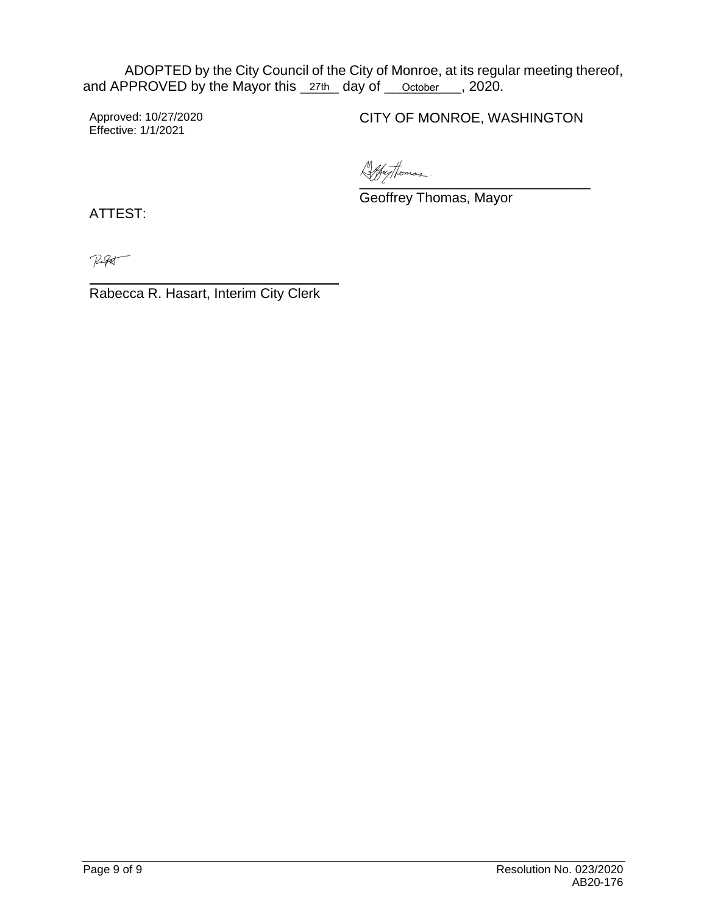ADOPTED by the City Council of the City of Monroe, at its regular meeting thereof, and APPROVED by the Mayor this \_27th\_ day of \_\_\_ October\_\_\_, 2020.

Approved: 10/27/2020 Effective: 1/1/2021

CITY OF MONROE, WASHINGTON

[\\_\\_\\_\\_\\_\\_\\_\\_\\_\\_\\_\\_\\_\\_\\_\\_\\_\\_\\_\\_\\_\\_\\_\\_\\_\\_](https://na2.documents.adobe.com/verifier?tx=CBJCHBCAABAAtJNMsbXKMUV6dliCTSmpOIXKCvIfAnGB)\_\_\_\_

Geoffrey Thomas, Mayor

ATTEST:

Ruft

Rabecca R. Hasart, Interim City Clerk